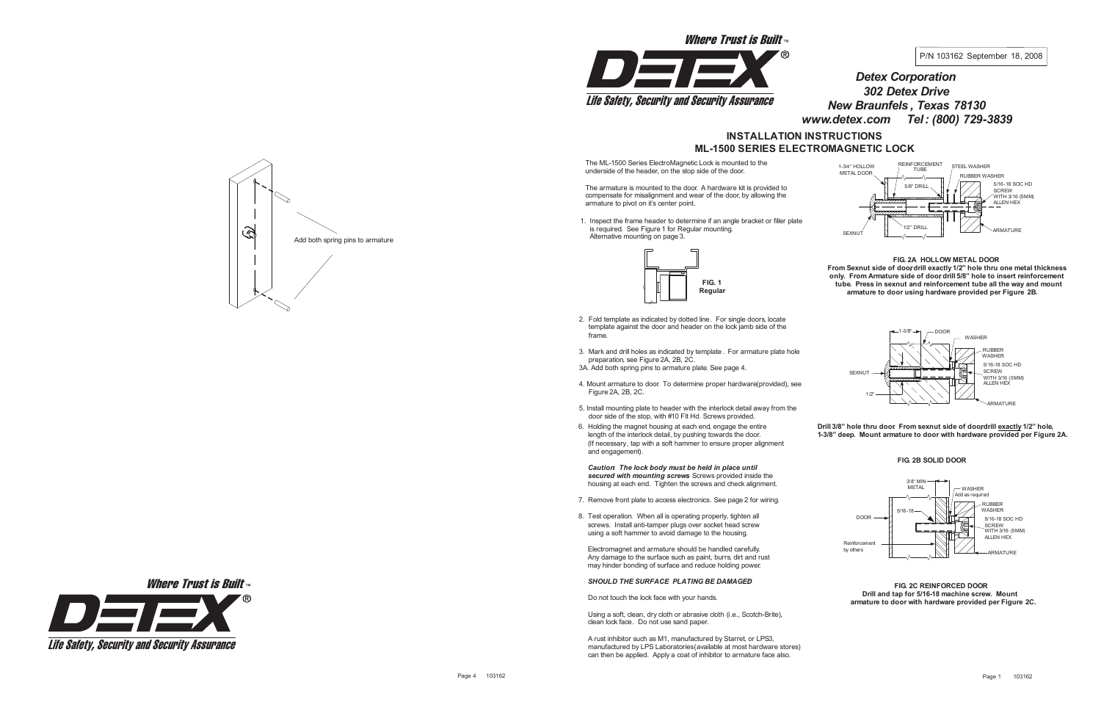The ML-1500 Series ElectroMagnetic Lock is mounted to the underside of the header, on the stop side of the door.

The armature is mounted to the door. A hardware kit is provided to compensate for misalignment and wear of the door, by allowing the armature to pivot on it's center point.

1. Inspect the frame header to determine if an angle bracket or filler plate is required. See Figure 1 for Regular mounting. Alternative mounting on page 3.



- 2. Fold template as indicated by dotted line. For single doors, locate template against the door and header on the lock jamb side of the frame.
- 3. Mark and drill holes as indicated by template . For armature plate hole preparation, see Figure 2A, 2B, 2C. 3A. Add both spring pins to armature plate. See page 4.
- 4. Mount armature to door. To determine proper hardware(provided), see Figure 2A, 2B, 2C.
- 5. Install mounting plate to header with the interlock detail away from the door side of the stop, with #10 Flt Hd. Screws provided.
- 6. Holding the magnet housing at each end, engage the entire length of the interlock detail, by pushing towards the door. (If necessary, tap with a soft hammer to ensure proper alignment and engagement).

## **FIG. 2A HOLLOW METAL DOOR**

**From Sexnut side of doo,rdrill exactly 1/2" hole thru one metal thickness only. From Armature side of doo,r drill 5/8" hole to insert reinforcement tube. Press in sexnut and reinforcement tube all the way and mount armature to door using hardware provided per Figure 2B.**

*Caution: The lock body must be held in place until secured with mounting screws.* Screws provided inside the housing at each end. Tighten the screws and check alignment.

# **INSTALLATION INSTRUCTIONS ML-1500 SERIES ELECTROMAGNETIC LOCK** *Detex Corporation 302 Detex Drive New Braunfels , Texas 78130 www.detex.com Tel: (800) 729-3839*

- 7. Remove front plate to access electronics. See page 2 for wiring.
- 8. Test operation. When all is operating properly, tighten all screws. Install anti-tamper plugs over socket head screw using a soft hammer to avoid damage to the housing.

Electromagnet and armature should be handled carefully. Any damage to the surface such as paint, burrs, dirt and rust may hinder bonding of surface and reduce holding power.

## *SHOULD THE SURFACE PLATING BE DAMAGED:*

Do not touch the lock face with your hands.

Using a soft, clean, dry cloth or abrasive cloth (i.e., Scotch-Brite), clean lock face. Do not use sand paper.

A rust inhibitor such as M1, manufactured by Starret, or LPS3, manufactured by LPS Laboratories(available at most hardware stores) can then be applied. Apply a coat of inhibitor to armature face also.

**FIG. 2B SOLID DOOR**

**Drill 3/8" hole thru door. From sexnut side of doo,rdrill exactly 1/2" hole, 1-3/8" deep. Mount armature to door with hardware provided per Figure 2A.**

#### **FIG. 2C REINFORCED DOOR Drill and tap for 5/16-18 machine screw. Mount armature to door with hardware provided per Figure 2C.**









Where Trust is Built